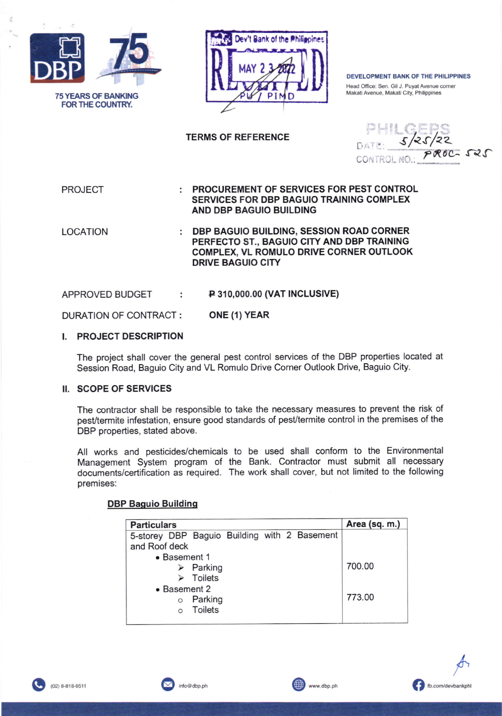



DEVELOPMENT BANK OF THE PHILIPPINES Head Office: Sen. Gil J. Puyat Avenue corner Makati Avenue, Makati City, Philippines

## **TERMS OF REFERENCE**

**PROJECT** 

PROCUREMENT OF SERVICES FOR PEST CONTROL ÷ **SERVICES FOR DBP BAGUIO TRAINING COMPLEX** AND DBP BAGUIO BUILDING

**LOCATION** 

: DBP BAGUIO BUILDING, SESSION ROAD CORNER PERFECTO ST., BAGUIO CITY AND DBP TRAINING COMPLEX, VL ROMULO DRIVE CORNER OUTLOOK **DRIVE BAGUIO CITY** 

APPROVED BUDGET **P 310,000.00 (VAT INCLUSIVE)** ÷

ONE (1) YEAR **DURATION OF CONTRACT:** 

## I. PROJECT DESCRIPTION

The project shall cover the general pest control services of the DBP properties located at Session Road, Baguio City and VL Romulo Drive Corner Outlook Drive, Baguio City.

#### II. SCOPE OF SERVICES

The contractor shall be responsible to take the necessary measures to prevent the risk of pest/termite infestation, ensure good standards of pest/termite control in the premises of the DBP properties, stated above.

All works and pesticides/chemicals to be used shall conform to the Environmental Management System program of the Bank. Contractor must submit all necessary documents/certification as required. The work shall cover, but not limited to the following premises:

## **DBP Baguio Building**

| <b>Particulars</b>                           |                          |  |  |  | Area (sq. m.) |
|----------------------------------------------|--------------------------|--|--|--|---------------|
| 5-storey DBP Baguio Building with 2 Basement |                          |  |  |  |               |
| and Roof deck                                |                          |  |  |  |               |
| • Basement 1                                 |                          |  |  |  |               |
|                                              | $\triangleright$ Parking |  |  |  | 700.00        |
|                                              | $\triangleright$ Toilets |  |  |  |               |
| • Basement 2                                 |                          |  |  |  |               |
| $\circ$                                      | Parking                  |  |  |  | 773.00        |
|                                              | <b>Toilets</b>           |  |  |  |               |
|                                              |                          |  |  |  |               |



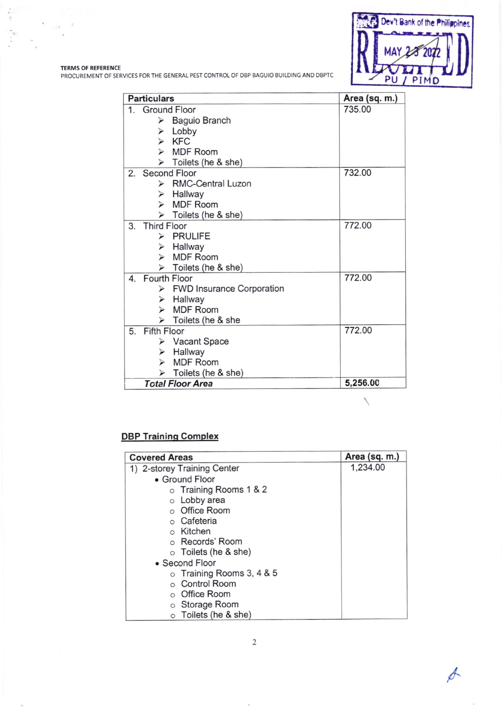

 $\frac{1}{\sqrt{2}}$ 

 $\mathcal{Q}$  $\sim$   $\alpha$ 

TERMS OF REFERENCE<br>PROCUREMENT OF SERVICES FOR THE GENERAL PEST CONTROL OF DBP BAGUIO BUILDING AND DBPTC

| <b>Particulars</b> |                    |                                            | Area (sq. m.) |
|--------------------|--------------------|--------------------------------------------|---------------|
|                    |                    | 1. Ground Floor                            | 735.00        |
|                    |                    | $\triangleright$ Baguio Branch             |               |
|                    |                    | $\triangleright$ Lobby                     |               |
|                    | ↘                  | <b>KFC</b>                                 |               |
|                    |                    | > MDF Room                                 |               |
|                    |                    | $\triangleright$ Toilets (he & she)        |               |
|                    | 2. Second Floor    |                                            | 732.00        |
|                    |                    | > RMC-Central Luzon                        |               |
|                    |                    | $\triangleright$ Hallway                   |               |
|                    |                    | > MDF Room                                 |               |
|                    |                    | $\triangleright$ Toilets (he & she)        |               |
| 3.                 | <b>Third Floor</b> |                                            | 772.00        |
|                    | $\triangleright$   | <b>PRULIFE</b>                             |               |
|                    |                    | $\triangleright$ Hallway                   |               |
|                    |                    | > MDF Room                                 |               |
|                    |                    | $\triangleright$ Toilets (he & she)        |               |
|                    |                    | 4. Fourth Floor                            | 772.00        |
|                    |                    | $\triangleright$ FWD Insurance Corporation |               |
|                    |                    | $\triangleright$ Hallway                   |               |
|                    |                    | $\triangleright$ MDF Room                  |               |
|                    |                    | > Toilets (he & she                        |               |
| 5.                 | <b>Fifth Floor</b> |                                            | 772.00        |
|                    |                    | ▶ Vacant Space                             |               |
|                    |                    | $\triangleright$ Hallway                   |               |
|                    | $\triangleright$   | <b>MDF</b> Room                            |               |
|                    |                    | Toilets (he & she)                         |               |
|                    |                    | <b>Total Floor Area</b>                    | 5,256.00      |

# **DBP Training Complex**

| <b>Covered Areas</b>            | Area (sq. m.) |
|---------------------------------|---------------|
| 1) 2-storey Training Center     | 1,234.00      |
| • Ground Floor                  |               |
| o Training Rooms 1 & 2          |               |
| o Lobby area                    |               |
| o Office Room                   |               |
| $\circ$ Cafeteria               |               |
| o Kitchen                       |               |
| ○ Records' Room                 |               |
| $\circ$ Toilets (he & she)      |               |
| • Second Floor                  |               |
| $\circ$ Training Rooms 3, 4 & 5 |               |
| o Control Room                  |               |
| ○ Office Room                   |               |
| o Storage Room                  |               |
| o Toilets (he & she)            |               |

 $\sqrt{2}$